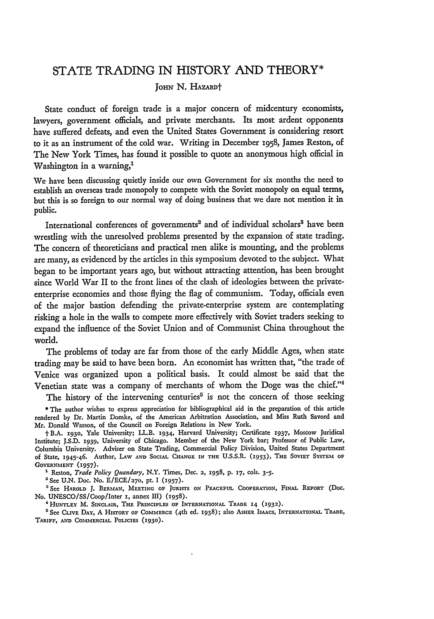## **STATE** TRADING IN HISTORY **AND** THEORY\*

## **JOHN N. HAZARDT**

State conduct of foreign trade is a major concern of midcentury economists, lawyers, government officials, and private merchants. Its most ardent opponents have suffered defeats, and even the United States Government is considering resort to it as an instrument of the cold war. Writing in December 1958, James Reston, of The New York Times, has found it possible to quote an anonymous high official in Washington in a warning,<sup>1</sup>

We have been discussing quietly inside our own Government for six months the need to establish an overseas trade monopoly to compete with the Soviet monopoly on equal terms, but this is so foreign to our normal way of doing business that we dare not mention it in public.

International conferences of governments' and of individual scholars' have been wrestling with the unresolved problems presented by the expansion of state trading. The concern of theoreticians and practical men alike is mounting, and the problems are many, as evidenced by the articles in this symposium devoted to the subject. What began to be important years ago, but without attracting attention, has been brought since World War II to the front lines of the clash of ideologies between the privateenterprise economies and those flying the flag of communism. Today, officials even of the major bastion defending the private-enterprise system are contemplating risking a hole in the walls to compete more effectively with Soviet traders seeking to expand the influence of the Soviet Union and of Communist China throughout the world.

The problems of today are far from those of the early Middle Ages, when state trading may be said to have been born. An economist has written that, "the trade of Venice was organized upon a political basis. It could almost be said that the Venetian state was a company of merchants of whom the Doge was the chief."4

The history of the intervening centuries<sup>5</sup> is not the concern of those seeking

\*The author wishes to express appreciation for bibliographical aid in the preparation of this article rendered by Dr. Martin Domke, of the American Arbitration Association, and Miss Ruth Savord and Mr. Donald Wasson, of the Council on Foreign Relations in New York.

-B.A. **1930,** Yale University; LL.B. 1934, Harvard University; Certificate 1937, Moscow Juridical Institute; J.S.D. 1939, University of Chicago. Member of the New York bar; Professor of Public Law, Columbia University. Adviser on State Trading, Commercial Policy Division, United States Department of State, 1945-46. Author, LAW **AND SOCIAL CHANGE IN THE** U.S.S.R. (1953), THE SovIET SYSTEM OF **GOvERNmENT (1957).**

**'** Reston, *Trade Policy Quandary,* N.Y. Times, Dec. **2,** 1958, p. **17,** cols. **3-5-**

'See U.N. Doc. No. E/ECE/27o, pt. I **(1957).**

**'See HAROLD J.** BERMAN, **MEETING OF JURISTS ON PEACEFUL** COOPERATION, **FINAL** REPORT (Doc. No. UNESCO/SS/Coop/Inter 1, annex III) (1958).

' **HUNmLEY** M. SINCLAIR, **THE PRINCIPLES** OF INTERNATIONAL **TRADE** 14 **(1932).**

<sup>5</sup> See CLIVE DAY, A HISTORY OF COMMERCE (4th ed. 1938); also ASHER ISAACS, INTERNATIONAL TRADE, TARIFF, **AND COMMERCIAL POLICIES (1930).**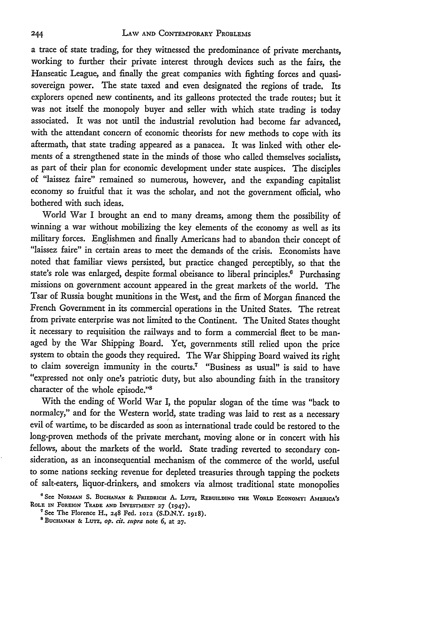a trace of state trading, for they witnessed the predominance of private merchants, working to further their private interest through devices such as the fairs, the Hanseatic League, and finally the great companies with fighting forces and quasisovereign power. The state taxed and even designated the regions of trade. Its explorers opened new continents, and its galleons protected the trade routes; but it was not itself the monopoly buyer and seller with which state trading is today associated. It was not until the industrial revolution had become far advanced, with the attendant concern of economic theorists for new methods to cope with its aftermath, that state trading appeared as a panacea. It was linked with other elements of a strengthened state in the minds of those who called themselves socialists, as part of their plan for economic development under state auspices. The disciples of "laissez faire" remained so numerous, however, and the expanding capitalist economy so fruitful that it was the scholar, and not the government official, who bothered with such ideas.

World War I brought an end to many dreams, among them the possibility of winning a war without mobilizing the key elements of the economy as well as its military forces. Englishmen and finally Americans had to abandon their concept of "laissez faire" in certain areas to meet the demands of the crisis. Economists have noted that familiar views persisted, but practice changed perceptibly, so that the state's role was enlarged, despite formal obeisance to liberal principles.<sup>6</sup> Purchasing missions on government account appeared in the great markets of the world. The Tsar of Russia bought munitions in the West, and the firm of Morgan financed the French Government in its commercial operations in the United States. The retreat from private enterprise was not limited to the Continent. The United States thought it necessary to requisition the railways and to form a commercial fleet to **be** managed by the War Shipping Board. Yet, governments still relied upon the price system to obtain the goods they required. The War Shipping Board waived its right to claim sovereign immunity in the courts.7 "Business as usual" is said to have "expressed not only one's patriotic duty, but also abounding faith in the transitory character of the whole episode."<sup>8</sup>

With the ending of World War I, the popular slogan of the time was "back to normalcy," and for the Western world, state trading was laid to rest as a necessary evil of wartime, to be discarded as soon as international trade could be restored to the long-proven methods of the private merchant, moving alone or in concert with his fellows, about the markets of the world. State trading reverted to secondary consideration, as an inconsequential mechanism of the commerce of the world, useful to some nations seeking revenue for depleted treasuries through tapping the pockets of salt-eaters, liquor-drinkers, and smokers via almost traditional state monopolies

<sup>&#</sup>x27;See **NORMAN S.** BUCHANAN **& FmiEDRicH A. LuTz, REBUILDING THE WORLD EcoNoMY: AMERICA'S ROLE iN FOREIGN" TRADE AND INVESTMENT 27 (1947).**

<sup>&#</sup>x27;See The Florence H., 248 Fed. ioi2 **(S.D.N.Y. xg8). 8 BUCHANAN & LUTZ,** *op. ci. supra* **note 6,** at **27.**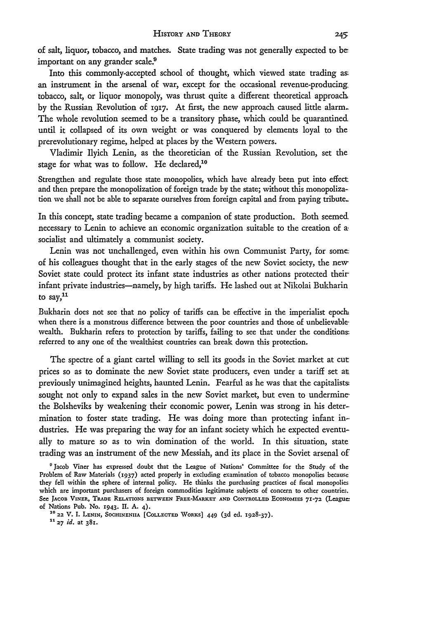of salt, liquor, tobacco, and matches. State trading was not generally expected to be important on any grander scale.<sup>9</sup>

Into this commonly-accepted school of thought, which viewed state trading as: an instrument in the arsenal of war, except for the occasional revenue-producing tobacco, salt, or liquor monopoly, was thrust quite a different theoretical approach, by the Russian Revolution of **1917.** At first, the new approach caused little alarm. The whole revolution seemed to be a transitory phase, which could be quarantined. until it collapsed of its own weight or was conquered by elements loyal to the prerevolutionary regime, helped at places by the Western powers.

Vladimir Ilyich Lenin, as the theoretician of the Russian Revolution, set the stage for what was to follow. He declared,'0

Strengthen and regulate those state monopolies, which have already been put into effect and then prepare the monopolization of foreign trade by the state; without this monopolization we shall not be able to separate ourselves from foreign capital and from paying tribute.

In this concept, state trading became a companion of state production. Both seemed. necessary to Lenin to achieve an economic organization suitable to the creation of asocialist and ultimately a communist society.

Lenin was not unchallenged, even within his own Communist Party, for some of his colleagues thought that in the early stages of the new Soviet society, the new Soviet state could protect its infant state industries as other nations protected theirinfant private industries-namely, by high tariffs. He lashed out at Nikolai Bukharin to say, $^{11}$ 

Bukharin does not see that no policy of tariffs can be effective in the imperialist epoch when there is a monstrous difference between the poor countries and those of unbelievablewealth. Bukharin refers to protection **by** tariffs, failing to see that under the conditions: referred to any one of the wealthiest countries can break down this protection.

The spectre of a giant cartel willing to sell its goods in the Soviet market at cut prices so as to dominate the new Soviet state producers, even under a tariff set at previously unimagined heights, haunted Lenin. Fearful as he was that the capitalists sought not only to expand sales in the new Soviet market, but even to underminethe Bolsheviks by weakening their economic power, Lenin was strong in his determination to foster state trading. He was doing more than protecting infant industries. He was preparing the way for an infant society which he expected eventually to mature so as to win domination of the world. In this situation, state trading was an instrument of the new Messiah, and its place in the Soviet arsenal of

**<sup>&#</sup>x27;** Jacob Viner has expressed doubt that the League of Nations' Committee for the Study of the Problem of Raw Materials (1937) acted properly in excluding examination of tobacco monopolies because they fell within the sphere of internal policy. He thinks the purchasing practices of fiscal monopolies which are important purchasers of foreign commodities legitimate subjects of concern to other countries. **See JACOB** VINER, **TRADE** RELATIONS **BETWEEN FREE-MARKET AND** CONTROLLED ECONOMIES **71-72** (League of Nations Pub. No. 1943. I. A. 4).

<sup>&</sup>lt;sup>10</sup> 22 V. I. LENIN, SOCHINENIIA [COLLECTED WORKS] 449 (3d ed. 1928-37).

**<sup>11 2</sup> <sup>7</sup>** *id.* **at** 381.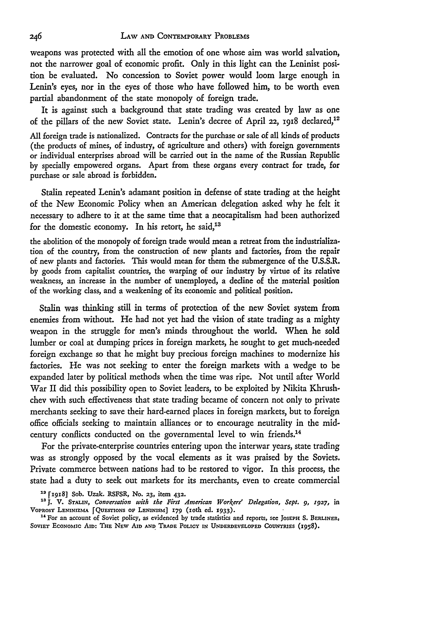weapons was protected with all the emotion of one whose aim was world salvation, not the narrower goal of economic profit. Only in this light can the Leninist position be evaluated. No concession to Soviet power would loom large enough in Lenin's eyes, nor in the eyes of those who have followed him, to be worth even partial abandonment of the state monopoly of foreign trade.

It is against such a background that state trading was created by law as one of the pillars of the new Soviet state. Lenin's decree of April **22,** i918 declared,12

All foreign trade is nationalized. Contracts for the purchase or sale of all kinds of products (the products of mines, of industry, of agriculture and others) with foreign governments or individual enterprises abroad will be carried out in the name of the Russian Republic by specially empowered organs. Apart from these organs every contract for trade, for purchase or sale abroad is forbidden.

Stalin repeated Lenin's adamant position in defense of state trading at the height of the New Economic Policy when an American delegation asked why he felt it necessary to adhere to it at the same time that a neocapitalism had been authorized for the domestic economy. In his retort, he said,<sup>13</sup>

the abolition of the monopoly of foreign trade would mean a retreat from the industrialization of the country, from the construction of new plants and factories, from the repair of new plants and factories. This would mean for them the submergence of the U.S.S.R. by goods from capitalist countries, the warping of our industry by virtue of its relative weakness, an increase in the number of unemployed, a decline of the material position of the working class, and a weakening of its economic and political position.

Stalin was thinking still in terms of protection of the new Soviet system from enemies from without. He had not yet had the vision of state trading as a mighty weapon in the struggle for men's minds throughout the world. When he sold lumber or coal at dumping prices in foreign markets, he sought to get much-needed foreign exchange so that he might buy precious foreign machines to modernize his factories. He was not seeking to enter the foreign markets with a wedge to be expanded later by political methods when the time was ripe. Not until after World War II did this possibility open to Soviet leaders, to be exploited by Nikita Khrushchev with such effectiveness that state trading became of concern not only to private merchants seeking to save their hard-earned places in foreign markets, but to foreign office officials seeking to maintain alliances or to encourage neutrality in the midcentury conflicts conducted on the governmental level to win friends.<sup>14</sup>

For the private-enterprise countries entering upon the interwar years, state trading was as strongly opposed by the vocal elements as it was praised by the Soviets. Private commerce between nations had to be restored to vigor. In this process, the state had a duty to seek out markets for its merchants, even to create commercial

**f2 [1918] Sob.** Uzak. RSFSR, No. **23, item 432.**

<sup>&#</sup>x27;3J. V. **STALIN,** *Conversation with the First American Workers Delegation, Sept. 9, 1927,* in VoPRosY **LENINIZMA** [QusTioNs **OF LENINISM] 179** (ioth ed. **1933).**

**<sup>&</sup>quot;For** an account of Soviet policy, as evidenced **by** trade statistics **and** reports, see **JosEPH S. BERLINER,** SOVIET EcONoMIc **AID: THE** NEW **AID AND** TRADE POLICY IN **UNDERDEVELOPED COUNTRIES** (1958).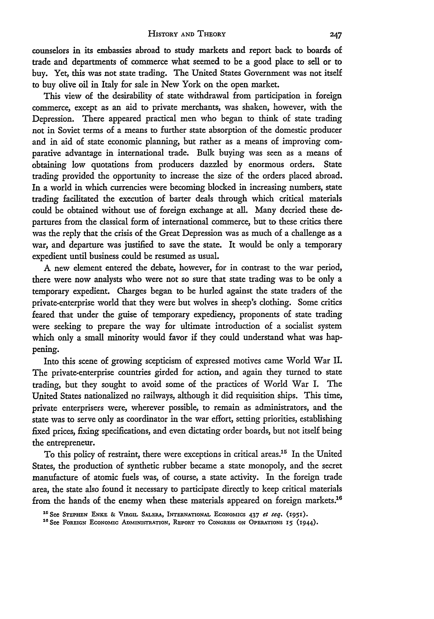counselors in its embassies abroad to study markets and report back to boards of trade and departments of commerce what seemed to be a good place to sell or to buy. Yet, this was not state trading. The United States Government was not itself to buy olive oil in Italy for sale in New York on the open market.

This view of the desirability of state withdrawal from participation in foreign commerce, except as an aid to private merchants, was shaken, however, with the Depression. There appeared practical men who began to think of state trading not in Soviet terms of a means to further state absorption of the domestic producer and in aid of state economic planning, but rather as a means of improving comparative advantage in international trade. Bulk buying was seen as a means of obtaining low quotations from producers dazzled by enormous orders. State trading provided the opportunity to increase the size of the orders placed abroad. In a world in which currencies were becoming blocked in increasing numbers, state trading facilitated the execution of barter deals through which critical materials could be obtained without use of foreign exchange at all. Many decried these departures from the classical form of international commerce, but to these critics there was the reply that the crisis of the Great Depression was as much of a challenge as a war, and departure was justified to save the state. It would be only a temporary expedient until business could be resumed as usual.

**A** new element entered the debate, however, for in contrast to the war period, there were now analysts who were not so sure that state trading was to be only a temporary expedient. Charges began to be hurled against the state traders of the private-enterprise world that they were but wolves in sheep's clothing. Some critics feared that under the guise of temporary expediency, proponents of state trading were seeking to prepare the way for ultimate introduction of a socialist system which only a small minority would favor if they could understand what was happening.

Into this scene of growing scepticism of expressed motives came World War II. The private-enterprise countries girded for action, and again they turned to state trading, but they sought to avoid some of the practices of World War I. The United States nationalized no railways, although it did requisition ships. This time, private enterprisers were, wherever possible, to remain as administrators, and the state was to serve only as coordinator in the war effort, setting priorities, establishing fixed prices, fixing specifications, and even dictating order boards, but not itself being the entrepreneur.

To this policy of restraint, there were exceptions in critical areas.<sup>15</sup> In the United States, the production of synthetic rubber became a state monopoly, and the secret manufacture of atomic fuels was, of course, a state activity. In the foreign trade area, the state also found it necessary to participate directly to keep critical materials from the hands of the enemy when these materials appeared on foreign markets.<sup>16</sup>

<sup>&</sup>lt;sup>15</sup> See Stephen Enke & Virgil Salera, International Economics 437 *et seq.* (1951).<br><sup>16</sup> See Foreign Economic Administration, Report to Congress on Operations 15 (1944).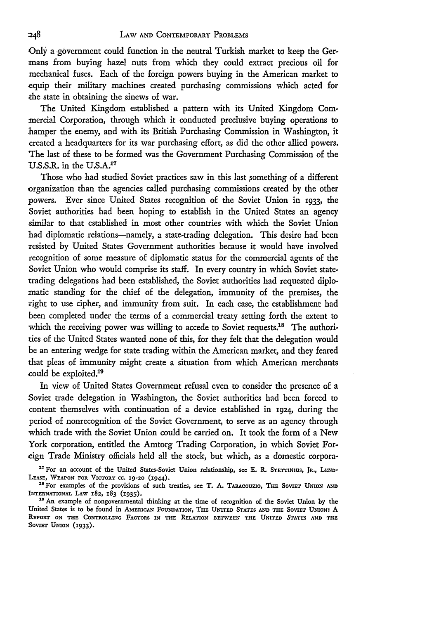Only a government could function in the neutral Turkish market to keep the Germans from buying hazel nuts from which they could extract precious oil for mechanical fuses. Each of the foreign powers buying in the American market to equip their military machines created purchasing commissions which acted for the state in obtaining the sinews of war.

The United Kingdom established a pattern with its United Kingdom Commercial Corporation, through which it conducted preclusive buying operations to hamper the enemy, and with its British Purchasing Commission in Washington, it created a headquarters for its war purchasing effort, as did the other allied powers. The last of these to be formed was the Government Purchasing Commission of the U.S.S.R. in the U.S.A.<sup>17</sup>

Those who had studied Soviet practices saw in this last something of a different organization than the agencies called purchasing commissions created by the other powers. Ever since United States recognition of the Soviet Union in **1933,** the Soviet authorities had been hoping to establish in the United States an agency similar to that established in most other countries with which the Soviet Union had diplomatic relations-namely, a state-trading delegation. This desire had been resisted by United States Government authorities because it would have involved recognition of some measure of diplomatic status for the commercial agents of the Soviet Union who would comprise its staff. In every country in which Soviet statetrading delegations had been established, the Soviet authorities had requested diplomatic standing for the chief of the delegation, immunity of the premises, the right to use cipher, and immunity from suit. In each case, the establishment had been completed under the terms of a commercial treaty setting forth the extent to which the receiving power was willing to accede to Soviet requests.<sup>18</sup> The authorities of the United States wanted none of this, for they felt that the delegation would be an entering wedge for state trading within the American market, and they feared that pleas of immunity might create a situation from which American merchants could be exploited.19

In view of United States Government refusal even to consider the presence of a Soviet trade delegation in Washington, the Soviet authorities had been forced to content themselves with continuation of a device established in **1924,** during the period of nonrecognition of the Soviet Government, to serve as an agency through which trade with the Soviet Union could be carried on. It took the form of a New York corporation, entitled the Amtorg Trading Corporation, in which Soviet Foreign Trade Ministry officials held all the stock, but which, as a domestic corpora-

<sup>17</sup> For an account of the United States-Soviet Union relationship, see E. R. STETTINIUS, JR., LEND-LEASE, WEAPON FOR VICTORY CC. 19-20 (1944).

<sup>&</sup>lt;sup>18</sup> For examples of the provisions of such treaties, see T. A. TARACOUZIO, THE SOVIET UNION AND INTERNATIONAL **LAW 182, 183 (1935).**

<sup>&</sup>quot;°An example of nongovernmental thinking at the time of recognition of the Soviet **Union by** the United States is to be found in **AmERIcAN** FOUNDATION, **THE UNITED STATES AND THE SovIET UNION: A REPORT ON THE CONTROLLING FACTORS IN THE RELATION BETWEEN THE UNITED STATES AND THIE** SOVIET **UNION (1933).**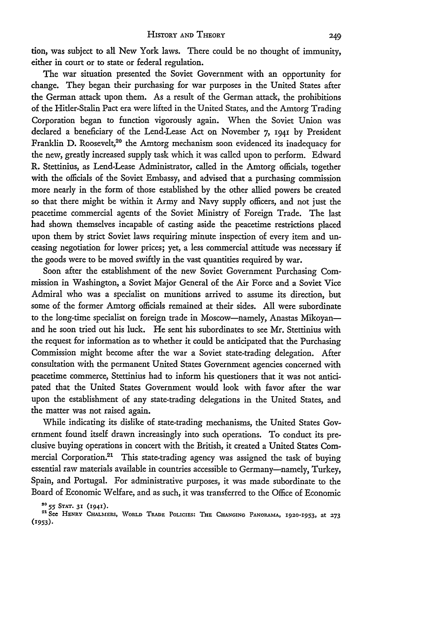tion, was subject to all New York laws. There could be no thought of immunity, either in court or to state or federal regulation.

The war situation presented the Soviet Government with an opportunity for change. They began their purchasing for war purposes in the United States after the German attack upon them. As a result of the German attack, the prohibitions of the Hider-Stalin Pact era were lifted in the United States, and the Amtorg Trading Corporation began to function vigorously again. When the Soviet Union was declared a beneficiary of the Lend-Lease Act on November 7, **1941** by President Franklin D. Roosevelt,<sup>20</sup> the Amtorg mechanism soon evidenced its inadequacy for the new, greatly increased supply task which it was called upon to perform. Edward R. Stettinius, as Lend-Lease Administrator, called in the Amtorg officials, together with the officials of the Soviet Embassy, and advised that a purchasing commission more nearly in the form of those established by the other allied powers be created so that there might be within it Army and Navy supply officers, and not just the peacetime commercial agents of the Soviet Ministry of Foreign Trade. The last had shown themselves incapable of casting aside the peacetime restrictions placed upon them by strict Soviet laws requiring minute inspection of every item and unceasing negotiation for lower prices; yet, a less commercial attitude was necessary if the goods were to be moved swiftly in the vast quantities required by war.

Soon after the establishment of the new Soviet Government Purchasing Commission in Washington, a Soviet Major General of the Air Force and a Soviet Vice Admiral who was a specialist on munitions arrived to assume its direction, but some of the former Amtorg officials remained at their sides. **All** were subordinate to the long-time specialist on foreign trade in Moscow-namely, Anastas Mikoyanand he soon tried out his luck. He sent his subordinates to see Mr. Stettinius with the request for information as to whether it could be anticipated that the Purchasing Commission might become after the war a Soviet state-trading delegation. After consultation with the permanent United States Government agencies concerned with peacetime commerce, Stettinius had to inform his questioners that it was not anticipated that the United States Government would look with favor after the war upon the establishment of any state-trading delegations in the United States, and the matter was not raised again.

While indicating its dislike of state-trading mechanisms, the United States Government found itself drawn increasingly into such operations. To conduct its preclusive buying operations in concert with the British, it created a United States Commercial Corporation.<sup>21</sup> This state-trading agency was assigned the task of buying essential raw materials available in countries accessible to Germany-namely, Turkey, Spain, and Portugal. For administrative purposes, it was made subordinate to the Board of Economic Welfare, and as such, it was transferred to the Office of Economic

**<sup>20</sup>55 STAT. 3x (194). 21 SeC HENRt** CHALMERS, **WORLD TRADE POLICIES:** THE **CHANGING PANORAMA, 1920-1953,** at **<sup>273</sup> (1953).**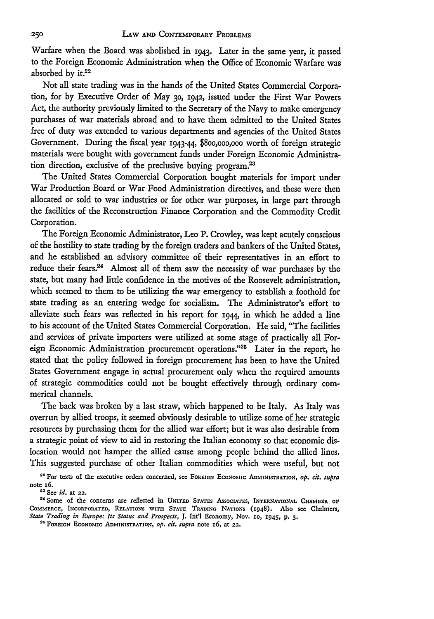Warfare when the Board was abolished in **1943.** Later in the same year, it passed to the Foreign Economic Administration when the Office of Economic Warfare was absorbed by it.<sup>22</sup>

Not all state trading was in the hands of the United States Commercial Corpora**tion,** for **by** Executive Order of May **30, 1942,** issued under the First War Powers Act, the authority previously limited to the Secretary of the Navy to make emergency purchases of war materials abroad and to have them admitted to the United States free of duty was extended to various departments and agencies of the United States Government. During the fiscal year 1943-44, \$800,000,000 worth of foreign strategic materials were bought with government funds under Foreign Economic Administration direction, exclusive of the preclusive buying program.<sup>23</sup>

The United States Commercial Corporation bought materials for import under War Production Board or War Food Administration directives, and these were then allocated or sold to war industries or for other war purposes, in large part through the facilities of the Reconstruction Finance Corporation and the Commodity Credit Corporation.

The Foreign Economic Administrator, Leo P. Crowley, was kept acutely conscious of the hostility to state trading **by** the foreign traders and bankers of the United States, and he established an advisory committee of their representatives in an effort to reduce their fears. 4 Almost all of them saw the necessity of war purchases **by** the state, but many had little confidence in the motives of the Roosevelt administration, which seemed to them to be utilizing the war emergency to establish a foothold for state trading as an entering wedge for socialism. The Administrator's effort to alleviate such fears was reflected in his report for **1944,** in which he added a line to his account of the United States Commercial Corporation. He said, "The facilities and services of private importers were utilized at some stage of practically all Foreign Economic Administration procurement operations."25 Later in the report, he stated that the policy followed in foreign procurement has been to have the United States Government engage in actual procurement only when the required amounts of strategic commodities could not be bought effectively through ordinary commerical channels.

The back was broken **by** a last straw, which happened to be Italy. As Italy was overrun **by** allied troops, it seemed obviously desirable to utilize some of her strategic resources **by** purchasing them for the allied war effort; but it was also desirable from a strategic point of view to aid in restoring the Italian economy so that economic dislocation would not hamper the allied cause among people behind the allied lines. This suggested purchase of other Italian commodities which were useful, but not

<sup>&</sup>lt;sup>22</sup> For texts of the executive orders concerned, see FOREIGN ECONOMIC ADMINISTRATION, *op. cit. supra* note 16.<br><sup>23</sup> See *id*. at 22.

**<sup>=</sup>See** *id.* at **22. <sup>2</sup> 4Some of the concerns are reflected in UNITED STATEs AssocIATEs, INTERNATIONAL CHAMBER OF COMMERCE, INCORPORATED, RELATIONS WITH STATE TRADING NATIONS (948). Also see** Chalmers, *State Trading in Europe:* **Its** *Status and Prospects,* **J.** Int'l Economy, Nov. **10,** 1945, *P.* **3.**

**<sup>&</sup>quot; FOREIGN EcoNoMIC ADMINISTRATION,** *op. cit. supra* **note** *z6,* **at 22.**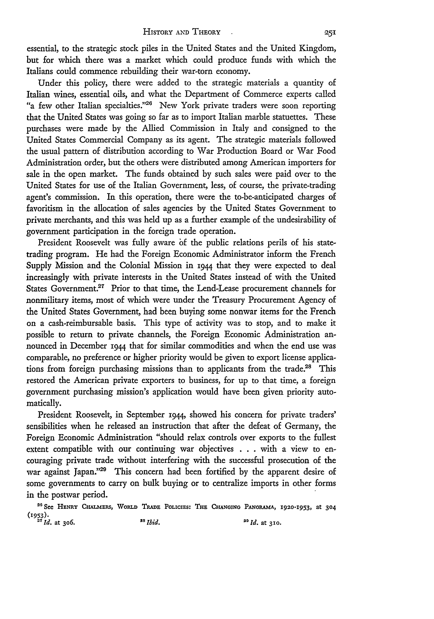essential, to the strategic stock piles in the United States and the United Kingdom, but for which there was a market which could produce funds with which the Italians could commence rebuilding their war-torn economy.

Under this policy, there were added to the strategic materials a quantity of Italian wines, essential oils, and what the Department of Commerce experts called "a few other Italian specialties."<sup>26</sup> New York private traders were soon reporting that the United States was going so far as to import Italian marble statuettes. These purchases were made by the Allied Commission in Italy and consigned to the United States Commercial Company as its agent. The strategic materials followed the usual pattern of distribution according to War Production Board or War Food Administration order, but the others were distributed among American importers for sale in the open market. The funds obtained by such sales were paid over to the United States for use of the Italian Government, less, of course, the private-trading agent's commission. In this operation, there were the to-be-anticipated charges of favoritism in the allocation of sales agencies by the United States Government to private merchants, and this was held up as a further example of the undesirability of government participation in the foreign trade operation.

President Roosevelt was fully aware of the public relations perils of his statetrading program. He had the Foreign Economic Administrator inform the French Supply Mission and the Colonial Mission in 1944 that they were expected to deal increasingly with private interests in the United States instead of with the United States Government.<sup>27</sup> Prior to that time, the Lend-Lease procurement channels for nonmilitary items, most of which were under the Treasury Procurement Agency of the United States Government, had been buying some nonwar items for the French on a cash-reimbursable basis. This type of activity was to stop, and to make it possible to return to private channels, the Foreign Economic Administration announced in December 1944 that for similar commodities and when the end use was comparable, no preference or higher priority would be given to export license applications from foreign purchasing missions than to applicants from the trade.<sup>28</sup> This restored the American private exporters to business, for up to that time, a foreign government purchasing mission's application would have been given priority automatically.

President Roosevelt, in September 1944, showed his concern for private traders' sensibilities when he released an instruction that after the defeat of Germany, the Foreign Economic Administration "should relax controls over exports to the fullest extent compatible with our continuing war objectives . . . with a view to encouraging private trade without interfering with the successful prosecution of the war against Japan."<sup>29</sup> This concern had been fortified by the apparent desire of some governments to carry on bulk buying or to centralize imports in other forms in the postwar period.

<sup>20</sup> See HENRY CHALMERS, WORLD TRADE POLICIES: THE CHANGING PANORAMA, 1920-1953, at 304 (1953).<br><sup>27</sup> *Id.* at 306. <sup>28</sup> *Ibid.* <sup>29</sup> *Id.* at 310.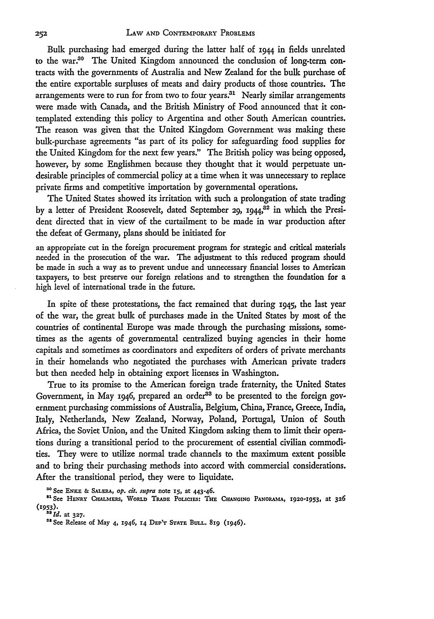Bulk purchasing had emerged during the latter half of 1944 in fields unrelated to the war.<sup>30</sup> The United Kingdom announced the conclusion of long-term contracts with the governments of Australia and New Zealand for the bulk purchase of the entire exportable surpluses of meats and dairy products of those countries. The arrangements were to run for from two to four years. $31$  Nearly similar arrangements were made with Canada, and the British Ministry of Food announced that it contemplated extending this policy to Argentina and other South American countries. The reason was given that the United Kingdom Government was making these bulk-purchase agreements "as part of its policy for safeguarding **food** supplies for the United Kingdom for the next few years." The British policy was being opposed, however, by some Englishmen because they thought that it would perpetuate undesirable principles of commercial policy at a time when it was unnecessary to replace private firms and competitive importation **by** governmental operations.

The United States showed its irritation with such a prolongation of state trading by a letter of President Roosevelt, dated September 29, 1944,<sup>32</sup> in which the President directed that in view of the curtailment to be made in war production after the defeat of Germany, plans should be initiated for

an appropriate cut in the foreign procurement program for strategic and critical materials needed in the prosecution of the war. The adjustment to this reduced program should be made in such a way as to prevent undue and unnecessary financial losses to American taxpayers, to best preserve our foreign relations and to strengthen the foundation for a high level of international trade in the future.

In spite of these protestations, the fact remained that during 1945, the last year of the war, the great bulk of purchases made in the United States by most of the countries of continental Europe was made through the purchasing missions, sometimes as the agents of governmental centralized buying agencies in their home capitals and sometimes as coordinators and expediters of orders of private merchants in their homelands who negotiated the purchases with American private traders but then needed help in obtaining export licenses in Washington.

True to its promise to the American foreign trade fraternity, the United States Government, in May 1946, prepared an order<sup>33</sup> to be presented to the foreign government purchasing commissions of Australia, Belgium, China, France, Greece, India, Italy, Netherlands, New Zealand, Norway, Poland, Portugal, Union of South Africa, the Soviet Union, and the United Kingdom asking them to limit their operations during a transitional period to the procurement of essential civilian commodities. They were to utilize normal trade channels to the maximum extent possible and to bring their purchasing methods into accord with commercial considerations. After the transitional period, they were to liquidate.

**30 See ENxE & SALERA,** *op. cit. supra* note **x5,** at 443-46.

**"'See HENRY** CHwA.LmEs, WORLD **TRADE** PoLIciEs: **THE CHANGING** PANORAMA, **1920-1953,** at **326 (1953).**

*"rId.* at **327.**

**<sup>&</sup>quot;'** See Release of May 4, 1946, **14 DEPT STATE** BULL. **859** (1946).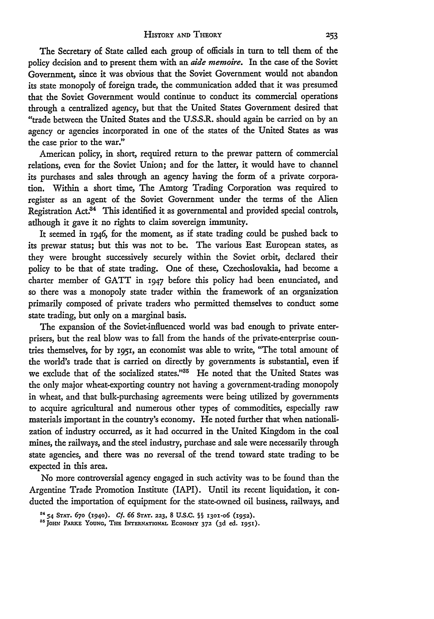The Secretary of State called each group of officials in turn to tell them of the policy decision and to present them with an *aide memoire.* In the case of the Soviet Government, since it was obvious that the Soviet Government would not abandon its state monopoly of foreign trade, the communication added that it was presumed that the Soviet Government would continue to conduct its commercial operations through a centralized agency, but that the United States Government desired that "trade between the United States and the U.S.S.R. should again be carried on by an agency or agencies incorporated in one of the states of the United States as was the case prior to the war."

American policy, in short, required return to the prewar pattern of commercial relations, even for the Soviet Union; and for the latter, it would have to channel its purchases and sales through an agency having the form of a private corporation. Within a short time, The Amtorg Trading Corporation was required to register as an agent of the Soviet Government under the terms of the Alien Registration Act.<sup>34</sup> This identified it as governmental and provided special controls, atlhough it gave it no rights to claim sovereign immunity.

It seemed in i946, for the moment, as if state trading could be pushed back to its prewar status; but this was not to be. The various East European states, as they were brought successively securely within the Soviet orbit, declared their policy to be that of state trading. One of these, Czechoslovakia, had become a charter member of GATT in **1947** before this policy had been enunciated, and so there was a monopoly state trader within the framework of an organization primarily composed of private traders who permitted themselves to conduct some state trading, but only on a marginal basis.

The expansion of the Soviet-influenced world was bad enough to private enterprisers, but the real blow was to fall from the hands of the private-enterprise countries themselves, for by 1951, an economist was able to write, "The total amount of the world's trade that is carried on directly by governments is substantial, even if we exclude that of the socialized states."<sup>35</sup> He noted that the United States was the only major wheat-exporting country not having a government-trading monopoly in wheat, and that bulk-purchasing agreements were being utilized by governments to acquire agricultural and numerous other types of commodities, especially raw materials important in the country's economy. He noted further that when nationalization of industry occurred, as it had occurred in the United Kingdom in the coal mines, the railways, and the steel industry, purchase and sale were necessarily through state agencies, and there was no reversal of the trend toward state trading to be expected in this area.

No more controversial agency engaged in such activity was to be found than the Argentine Trade Promotion Institute (IAPI). Until its recent liquidation, it conducted the importation of equipment for the state-owned oil business, railways, and

**<sup>84 54</sup> STAT. 670 (1940). Cf. 66 STAT. 223,** 8 **U.S.C.** §§ **130I-O6 (1952).**

<sup>&</sup>lt;sup>85</sup> JOHN PARKE YOUNG, THE INTERNATIONAL ECONOMY 372 (3d ed. 1951)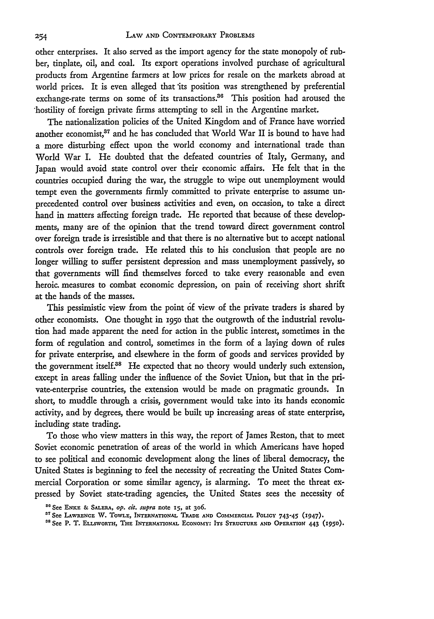other enterprises. It also served as the import agency for the state monopoly of rubber, tinplate, oil, and coal. Its export operations involved purchase of agricultural products from Argentine farmers at low prices for resale on the markets abroad at world prices. It is even alleged that 'its position was strengthened by preferential exchange-rate terms on some of its transactions.<sup>36</sup> This position had aroused the hostility of foreign private firms attempting to sell in the Argentine market.

The nationalization policies of the United Kingdom and of France have worried another economist,<sup>37</sup> and he has concluded that World War II is bound to have had a more disturbing effect upon the world economy and international trade than World War I. He doubted that the defeated countries of Italy, Germany, and Japan would avoid state control over their economic affairs. He felt that in the countries occupied during the war, the struggle to wipe out unemployment would tempt even the governments firmly committed to private enterprise to assume unprecedented control over business activities and even, on occasion, to take a direct hand in matters affecting foreign trade. He reported that because of these developments, many are of the opinion that the trend toward direct government control over foreign trade is irresistible and that there is no alternative but to accept national controls over foreign trade. He related this to his conclusion that people are no longer willing to suffer persistent depression and mass unemployment passively, so that governments will find themselves forced to take every reasonable and even heroic. measures to combat economic depression, on pain of receiving short shrift at the hands of the masses.

This pessimistic view from the point **6f** view of the private traders is shared by other economists. One thought in i95o that the outgrowth of the industrial revolution had made apparent the need for action in the public interest, sometimes in the form of regulation and control, sometimes in the form of a laying down of rules for private enterprise, and elsewhere in the form of goods and services provided by the government itself.<sup>38</sup> He expected that no theory would underly such extension, except in areas falling under the influence of the Soviet Union, but that in the private-enterprise countries, the extension would be made on pragmatic grounds. In short, to muddle through a crisis, government would take into its hands economic activity, and by degrees, there would be built up increasing areas of state enterprise, including state trading.

To those who view matters in this way, the report of James Reston, that to meet Soviet economic penetration of areas of the world in which Americans have hoped to see political and economic development along the lines of liberal democracy, the United States is beginning to feel the necessity of recreating the United States Commercial Corporation or some similar agency, is alarming. To meet the threat expressed by Soviet state-trading agencies, the United States sees the necessity of

*<sup>&</sup>quot;0* **See ENKF & SALERA, Op. cit.** *supra* **note 15, at 306.**

**<sup>&</sup>quot;'** See **LA WRENcE** W. **TOWLE, INTERNATIONAL TRADE AND COMMERCIAL POLICY** 743-45 (1947). **"s** See P. T. **ELLSWORTH, THE INTERNATIONAL ECONORY: ITS STRUCTURE AND OPERATION** 443 **(1950).**